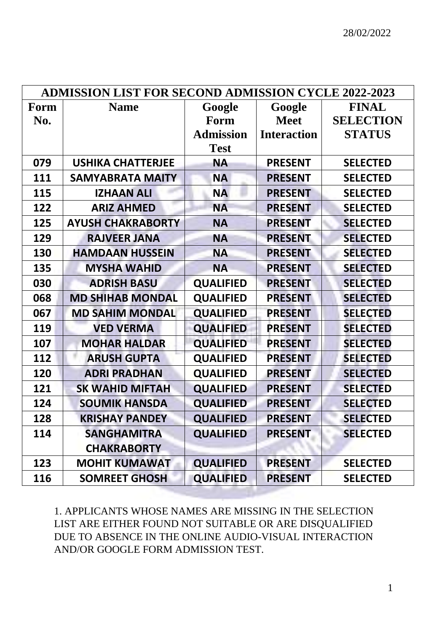| <b>ADMISSION LIST FOR SECOND ADMISSION CYCLE 2022-2023</b> |                          |                  |                    |                  |
|------------------------------------------------------------|--------------------------|------------------|--------------------|------------------|
| Form                                                       | <b>Name</b>              | Google           | Google             | <b>FINAL</b>     |
| No.                                                        |                          | Form             | <b>Meet</b>        | <b>SELECTION</b> |
|                                                            |                          | <b>Admission</b> | <b>Interaction</b> | <b>STATUS</b>    |
|                                                            |                          | <b>Test</b>      |                    |                  |
| 079                                                        | <b>USHIKA CHATTERJEE</b> | <b>NA</b>        | <b>PRESENT</b>     | <b>SELECTED</b>  |
| 111                                                        | <b>SAMYABRATA MAITY</b>  | <b>NA</b>        | <b>PRESENT</b>     | <b>SELECTED</b>  |
| 115                                                        | <b>IZHAAN ALI</b>        | <b>NA</b>        | <b>PRESENT</b>     | <b>SELECTED</b>  |
| 122                                                        | <b>ARIZ AHMED</b>        | <b>NA</b>        | <b>PRESENT</b>     | <b>SELECTED</b>  |
| 125                                                        | <b>AYUSH CHAKRABORTY</b> | <b>NA</b>        | <b>PRESENT</b>     | <b>SELECTED</b>  |
| 129                                                        | <b>RAJVEER JANA</b>      | <b>NA</b>        | <b>PRESENT</b>     | <b>SELECTED</b>  |
| 130                                                        | <b>HAMDAAN HUSSEIN</b>   | <b>NA</b>        | <b>PRESENT</b>     | <b>SELECTED</b>  |
| 135                                                        | <b>MYSHA WAHID</b>       | <b>NA</b>        | <b>PRESENT</b>     | <b>SELECTED</b>  |
| 030                                                        | <b>ADRISH BASU</b>       | <b>QUALIFIED</b> | <b>PRESENT</b>     | <b>SELECTED</b>  |
| 068                                                        | <b>MD SHIHAB MONDAL</b>  | <b>QUALIFIED</b> | <b>PRESENT</b>     | <b>SELECTED</b>  |
| 067                                                        | <b>MD SAHIM MONDAL</b>   | <b>QUALIFIED</b> | <b>PRESENT</b>     | <b>SELECTED</b>  |
| 119                                                        | <b>VED VERMA</b>         | <b>QUALIFIED</b> | <b>PRESENT</b>     | <b>SELECTED</b>  |
| 107                                                        | <b>MOHAR HALDAR</b>      | <b>QUALIFIED</b> | <b>PRESENT</b>     | <b>SELECTED</b>  |
| 112                                                        | <b>ARUSH GUPTA</b>       | <b>QUALIFIED</b> | <b>PRESENT</b>     | <b>SELECTED</b>  |
| 120                                                        | <b>ADRI PRADHAN</b>      | <b>QUALIFIED</b> | <b>PRESENT</b>     | <b>SELECTED</b>  |
| 121                                                        | <b>SK WAHID MIFTAH</b>   | <b>QUALIFIED</b> | <b>PRESENT</b>     | <b>SELECTED</b>  |
| 124                                                        | <b>SOUMIK HANSDA</b>     | <b>QUALIFIED</b> | <b>PRESENT</b>     | <b>SELECTED</b>  |
| 128                                                        | <b>KRISHAY PANDEY</b>    | <b>QUALIFIED</b> | <b>PRESENT</b>     | <b>SELECTED</b>  |
| 114                                                        | <b>SANGHAMITRA</b>       | <b>QUALIFIED</b> | <b>PRESENT</b>     | <b>SELECTED</b>  |
|                                                            | <b>CHAKRABORTY</b>       |                  |                    |                  |
| 123                                                        | <b>MOHIT KUMAWAT</b>     | <b>QUALIFIED</b> | <b>PRESENT</b>     | <b>SELECTED</b>  |
| 116                                                        | <b>SOMREET GHOSH</b>     | <b>QUALIFIED</b> | <b>PRESENT</b>     | <b>SELECTED</b>  |

1. APPLICANTS WHOSE NAMES ARE MISSING IN THE SELECTION LIST ARE EITHER FOUND NOT SUITABLE OR ARE DISQUALIFIED DUE TO ABSENCE IN THE ONLINE AUDIO-VISUAL INTERACTION AND/OR GOOGLE FORM ADMISSION TEST.